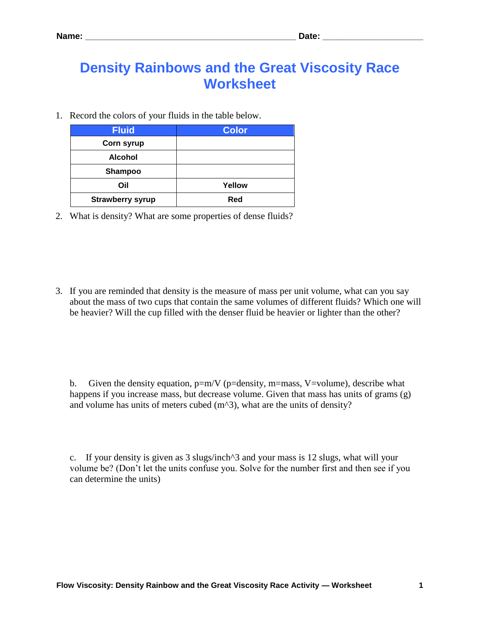## **Density Rainbows and the Great Viscosity Race Worksheet**

1. Record the colors of your fluids in the table below.

| <b>Fluid</b>            | <b>Color</b> |
|-------------------------|--------------|
| Corn syrup              |              |
| <b>Alcohol</b>          |              |
| <b>Shampoo</b>          |              |
| Oil                     | Yellow       |
| <b>Strawberry syrup</b> | Red          |

2. What is density? What are some properties of dense fluids?

3. If you are reminded that density is the measure of mass per unit volume, what can you say about the mass of two cups that contain the same volumes of different fluids? Which one will be heavier? Will the cup filled with the denser fluid be heavier or lighter than the other?

b. Given the density equation,  $p=m/V$  ( $p=density$ ,  $m=mass$ ,  $V=volume$ ), describe what happens if you increase mass, but decrease volume. Given that mass has units of grams (g) and volume has units of meters cubed  $(m<sup>2</sup>)$ , what are the units of density?

c. If your density is given as 3 slugs/inch^3 and your mass is 12 slugs, what will your volume be? (Don't let the units confuse you. Solve for the number first and then see if you can determine the units)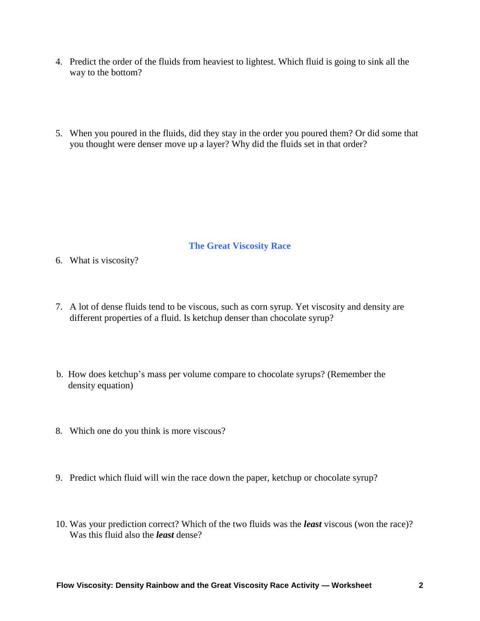- 4. Predict the order of the fluids from heaviest to lightest. Which fluid is going to sink all the way to the bottom?
- 5. When you poured in the fluids, did they stay in the order you poured them? Or did some that you thought were denser move up a layer? Why did the fluids set in that order?

## **The Great Viscosity Race**

- 6. What is viscosity?
- 7. A lot of dense fluids tend to be viscous, such as corn syrup. Yet viscosity and density are different properties of a fluid. Is ketchup denser than chocolate syrup?
- b. How does ketchup's mass per volume compare to chocolate syrups? (Remember the density equation)
- 8. Which one do you think is more viscous?
- 9. Predict which fluid will win the race down the paper, ketchup or chocolate syrup?
- 10. Was your prediction correct? Which of the two fluids was the *least* viscous (won the race)? Was this fluid also the *least* dense?